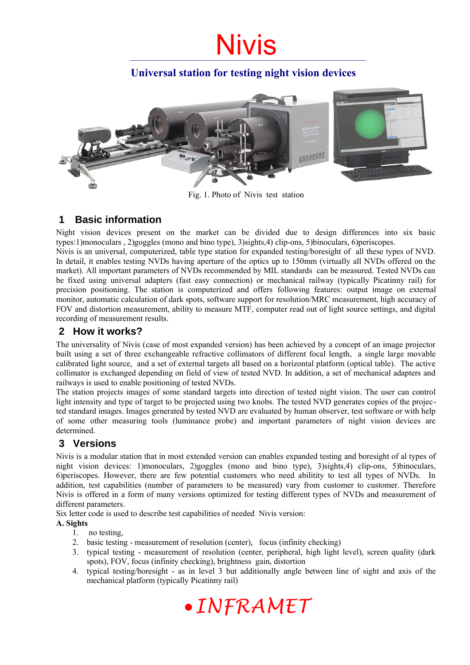# Nivis

# **Universal station for testing night vision devices**



Fig. 1. Photo of Nivis test station

# **1 Basic information**

Night vision devices present on the market can be divided due to design differences into six basic types:1)monoculars , 2)goggles (mono and bino type), 3)sights,4) clip-ons, 5)binoculars, 6)periscopes.

Nivis is an universal, computerized, table type station for expanded testing/boresight of all these types of NVD. In detail, it enables testing NVDs having aperture of the optics up to 150mm (virtually all NVDs offered on the market). All important parameters of NVDs recommended by MIL standards can be measured. Tested NVDs can be fixed using universal adapters (fast easy connection) or mechanical railway (typically Picatinny rail) for precision positioning. The station is computerized and offers following features: output image on external monitor, automatic calculation of dark spots, software support for resolution/MRC measurement, high accuracy of FOV and distortion measurement, ability to measure MTF, computer read out of light source settings, and digital recording of measurement results.

### **2 How it works?**

The universality of Nivis (case of most expanded version) has been achieved by a concept of an image projector built using a set of three exchangeable refractive collimators of different focal length, a single large movable calibrated light source, and a set of external targets all based on a horizontal platform (optical table). The active collimator is exchanged depending on field of view of tested NVD. In addition, a set of mechanical adapters and railways is used to enable positioning of tested NVDs.

The station projects images of some standard targets into direction of tested night vision. The user can control light intensity and type of target to be projected using two knobs. The tested NVD generates copies of the projected standard images. Images generated by tested NVD are evaluated by human observer, test software or with help of some other measuring tools (luminance probe) and important parameters of night vision devices are determined.

### **3 Versions**

Nivis is a modular station that in most extended version can enables expanded testing and boresight of al types of night vision devices: 1)monoculars, 2)goggles (mono and bino type), 3)sights,4) clip-ons, 5)binoculars, 6)periscopes. However, there are few potential customers who need abilitity to test all types of NVDs. In addition, test capabilities (number of parameters to be measured) vary from customer to customer. Therefore Nivis is offered in a form of many versions optimized for testing different types of NVDs and measurement of different parameters.

Six letter code is used to describe test capabilities of needed Nivis version:

#### **A. Sights**

- 1. no testing,
- 2. basic testing measurement of resolution (center), focus (infinity checking)
- 3. typical testing measurement of resolution (center, peripheral, high light level), screen quality (dark spots), FOV, focus (infinity checking), brightness gain, distortion
- 4. typical testing/boresight as in level 3 but additionally angle between line of sight and axis of the mechanical platform (typically Picatinny rail)

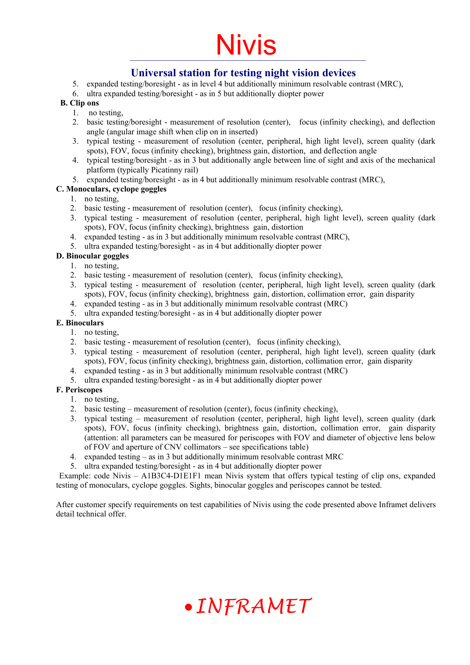# Nivis

### **Universal station for testing night vision devices**

- 5. expanded testing/boresight as in level 4 but additionally minimum resolvable contrast (MRC),
- 6. ultra expanded testing/boresight as in 5 but additionally diopter power

#### **B. Clip ons**

- 1. no testing,
- 2. basic testing/boresight measurement of resolution (center), focus (infinity checking), and deflection angle (angular image shift when clip on in inserted)
- 3. typical testing measurement of resolution (center, peripheral, high light level), screen quality (dark spots), FOV, focus (infinity checking), brightness gain, distortion, and deflection angle
- 4. typical testing/boresight as in 3 but additionally angle between line of sight and axis of the mechanical platform (typically Picatinny rail)
- 5. expanded testing/boresight as in 4 but additionally minimum resolvable contrast (MRC),

#### **C. Monoculars, cyclope goggles**

- 1. no testing,
- 2. basic testing measurement of resolution (center), focus (infinity checking),
- 3. typical testing measurement of resolution (center, peripheral, high light level), screen quality (dark spots), FOV, focus (infinity checking), brightness gain, distortion
- 4. expanded testing as in 3 but additionally minimum resolvable contrast (MRC),
- 5. ultra expanded testing/boresight as in 4 but additionally diopter power

#### **D. Binocular goggles**

- 1. no testing,
- 2. basic testing measurement of resolution (center), focus (infinity checking),
- 3. typical testing measurement of resolution (center, peripheral, high light level), screen quality (dark spots), FOV, focus (infinity checking), brightness gain, distortion, collimation error, gain disparity
- 4. expanded testing as in 3 but additionally minimum resolvable contrast (MRC)
- 5. ultra expanded testing/boresight as in 4 but additionally diopter power

#### **E. Binoculars**

- 1. no testing,
- 2. basic testing measurement of resolution (center), focus (infinity checking),
- 3. typical testing measurement of resolution (center, peripheral, high light level), screen quality (dark spots), FOV, focus (infinity checking), brightness gain, distortion, collimation error, gain disparity
- 4. expanded testing as in 3 but additionally minimum resolvable contrast (MRC)
- 5. ultra expanded testing/boresight as in 4 but additionally diopter power

#### **F. Periscopes**

- 1. no testing,
- 2. basic testing measurement of resolution (center), focus (infinity checking),
- 3. typical testing measurement of resolution (center, peripheral, high light level), screen quality (dark spots), FOV, focus (infinity checking), brightness gain, distortion, collimation error, gain disparity (attention: all parameters can be measured for periscopes with FOV and diameter of objective lens below of FOV and aperture of CNV collimators – see specifications table)
- 4. expanded testing as in 3 but additionally minimum resolvable contrast MRC
- 5. ultra expanded testing/boresight as in 4 but additionally diopter power

 Example: code Nivis – A1B3C4-D1E1F1 mean Nivis system that offers typical testing of clip ons, expanded testing of monoculars, cyclope goggles. Sights, binocular goggles and periscopes cannot be tested.

After customer specify requirements on test capabilities of Nivis using the code presented above Inframet delivers detail technical offer.

# *INFRAMET*